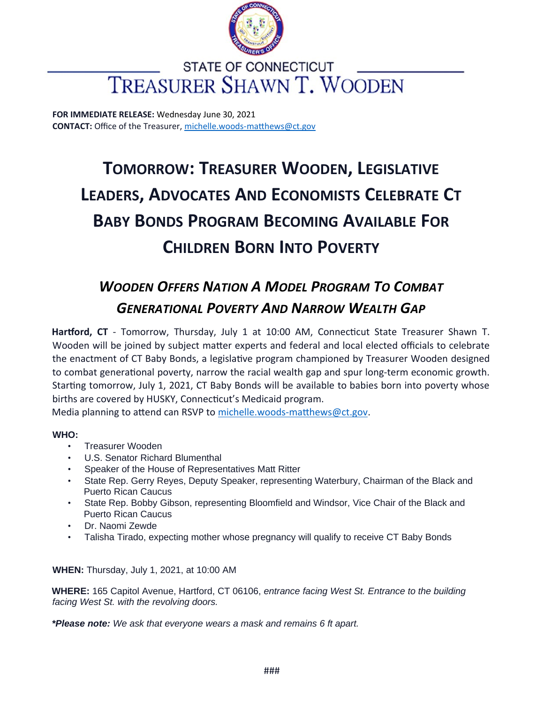

### **STATE OF CONNECTICUT TREASURER SHAWN T. WOODEN**

**FOR IMMEDIATE RELEASE:** Wednesday June 30, 2021 **CONTACT:** Office of the Treasurer, michelle.woods-matthews@ct.gov

# **TOMORROW: TREASURER WOODEN, LEGISLATIVE LEADERS, ADVOCATES AND ECONOMISTS CELEBRATE CT BABY BONDS PROGRAM BECOMING AVAILABLE FOR CHILDREN BORN INTO POVERTY**

## *WOODEN OFFERS NATION A MODEL PROGRAM TO COMBAT GENERATIONAL POVERTY AND NARROW WEALTH GAP*

**Hartford, CT** - Tomorrow, Thursday, July 1 at 10:00 AM, Connecticut State Treasurer Shawn T. Wooden will be joined by subject matter experts and federal and local elected officials to celebrate the enactment of CT Baby Bonds, a legislative program championed by Treasurer Wooden designed to combat generational poverty, narrow the racial wealth gap and spur long-term economic growth. Starting tomorrow, July 1, 2021, CT Baby Bonds will be available to babies born into poverty whose births are covered by HUSKY, Connecticut's Medicaid program.

Media planning to attend can RSVP to michelle.woods-matthews@ct.gov.

#### **WHO:**

- Treasurer Wooden
- U.S. Senator Richard Blumenthal
- Speaker of the House of Representatives Matt Ritter
- State Rep. Gerry Reyes, Deputy Speaker, representing Waterbury, Chairman of the Black and Puerto Rican Caucus
- State Rep. Bobby Gibson, representing Bloomfield and Windsor, Vice Chair of the Black and Puerto Rican Caucus
- Dr. Naomi Zewde
- Talisha Tirado, expecting mother whose pregnancy will qualify to receive CT Baby Bonds

**WHEN:** Thursday, July 1, 2021, at 10:00 AM

**WHERE:** 165 Capitol Avenue, Hartford, CT 06106, *entrance facing West St. Entrance to the building facing West St. with the revolving doors.* 

*\*Please note: We ask that everyone wears a mask and remains 6 ft apart.*